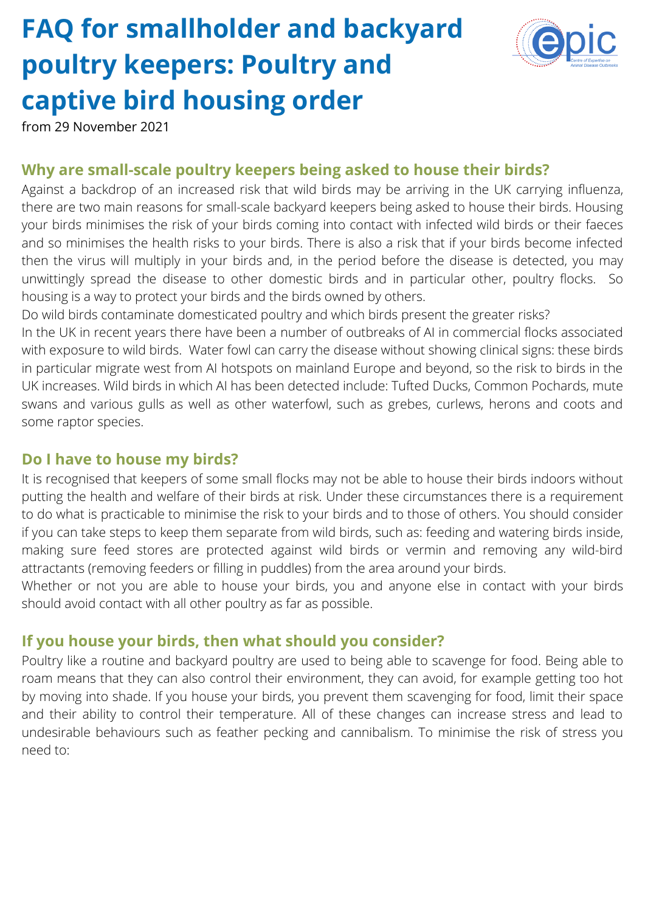# **FAQ for smallholder and backyard poultry keepers: Poultry and captive bird housing order**



from 29 November 2021

#### **Why are small-scale poultry keepers being asked to house their birds?**

Against a backdrop of an increased risk that wild birds may be arriving in the UK carrying influenza, there are two main reasons for small-scale backyard keepers being asked to house their birds. Housing your birds minimises the risk of your birds coming into contact with infected wild birds or their faeces and so minimises the health risks to your birds. There is also a risk that if your birds become infected then the virus will multiply in your birds and, in the period before the disease is detected, you may unwittingly spread the disease to other domestic birds and in particular other, poultry flocks. So housing is a way to protect your birds and the birds owned by others.

Do wild birds contaminate domesticated poultry and which birds present the greater risks?

In the UK in recent years there have been a number of outbreaks of AI in commercial flocks associated with exposure to wild birds. Water fowl can carry the disease without showing clinical signs: these birds in particular migrate west from AI hotspots on mainland Europe and beyond, so the risk to birds in the UK increases. Wild birds in which AI has been detected include: Tufted Ducks, Common Pochards, mute swans and various gulls as well as other waterfowl, such as grebes, curlews, herons and coots and some raptor species.

#### **Do I have to house my birds?**

It is recognised that keepers of some small flocks may not be able to house their birds indoors without putting the health and welfare of their birds at risk. Under these circumstances there is a requirement to do what is practicable to minimise the risk to your birds and to those of others. You should consider if you can take steps to keep them separate from wild birds, such as: feeding and watering birds inside, making sure feed stores are protected against wild birds or vermin and removing any wild-bird attractants (removing feeders or filling in puddles) from the area around your birds.

Whether or not you are able to house your birds, you and anyone else in contact with your birds should avoid contact with all other poultry as far as possible.

#### **If you house your birds, then what should you consider?**

Poultry like a routine and backyard poultry are used to being able to scavenge for food. Being able to roam means that they can also control their environment, they can avoid, for example getting too hot by moving into shade. If you house your birds, you prevent them scavenging for food, limit their space and their ability to control their temperature. All of these changes can increase stress and lead to undesirable behaviours such as feather pecking and cannibalism. To minimise the risk of stress you need to: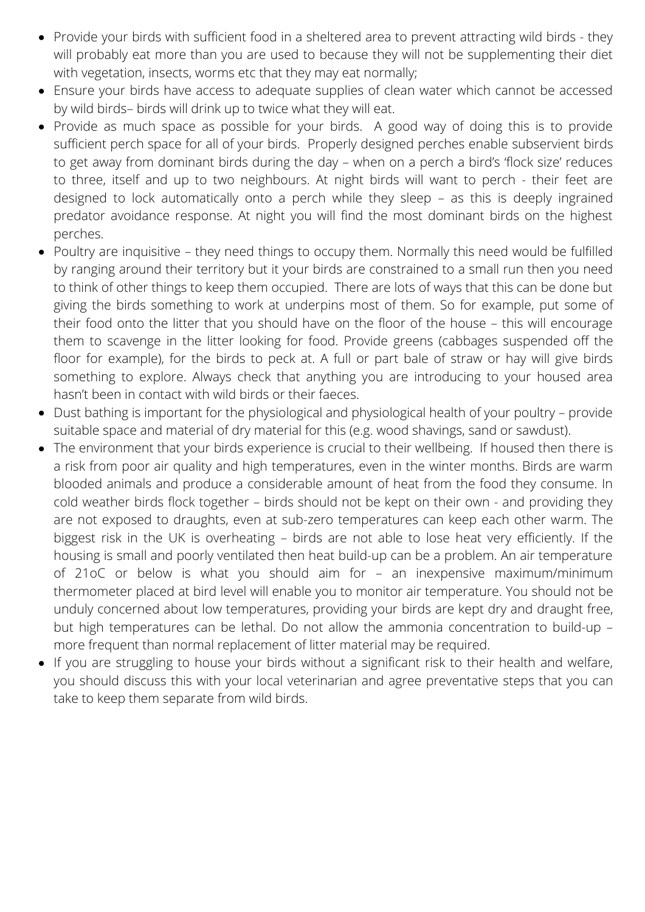- Provide your birds with sufficient food in a sheltered area to prevent attracting wild birds they will probably eat more than you are used to because they will not be supplementing their diet with vegetation, insects, worms etc that they may eat normally;
- Ensure your birds have access to adequate supplies of clean water which cannot be accessed by wild birds– birds will drink up to twice what they will eat.
- Provide as much space as possible for your birds. A good way of doing this is to provide sufficient perch space for all of your birds. Properly designed perches enable subservient birds to get away from dominant birds during the day – when on a perch a bird's 'flock size' reduces to three, itself and up to two neighbours. At night birds will want to perch - their feet are designed to lock automatically onto a perch while they sleep – as this is deeply ingrained predator avoidance response. At night you will find the most dominant birds on the highest perches.
- Poultry are inquisitive they need things to occupy them. Normally this need would be fulfilled by ranging around their territory but it your birds are constrained to a small run then you need to think of other things to keep them occupied. There are lots of ways that this can be done but giving the birds something to work at underpins most of them. So for example, put some of their food onto the litter that you should have on the floor of the house – this will encourage them to scavenge in the litter looking for food. Provide greens (cabbages suspended off the floor for example), for the birds to peck at. A full or part bale of straw or hay will give birds something to explore. Always check that anything you are introducing to your housed area hasn't been in contact with wild birds or their faeces.
- Dust bathing is important for the physiological and physiological health of your poultry provide suitable space and material of dry material for this (e.g. wood shavings, sand or sawdust).
- The environment that your birds experience is crucial to their wellbeing. If housed then there is a risk from poor air quality and high temperatures, even in the winter months. Birds are warm blooded animals and produce a considerable amount of heat from the food they consume. In cold weather birds flock together – birds should not be kept on their own - and providing they are not exposed to draughts, even at sub-zero temperatures can keep each other warm. The biggest risk in the UK is overheating – birds are not able to lose heat very efficiently. If the housing is small and poorly ventilated then heat build-up can be a problem. An air temperature of 21oC or below is what you should aim for – an inexpensive maximum/minimum thermometer placed at bird level will enable you to monitor air temperature. You should not be unduly concerned about low temperatures, providing your birds are kept dry and draught free, but high temperatures can be lethal. Do not allow the ammonia concentration to build-up – more frequent than normal replacement of litter material may be required.
- If you are struggling to house your birds without a significant risk to their health and welfare, you should discuss this with your local veterinarian and agree preventative steps that you can take to keep them separate from wild birds.